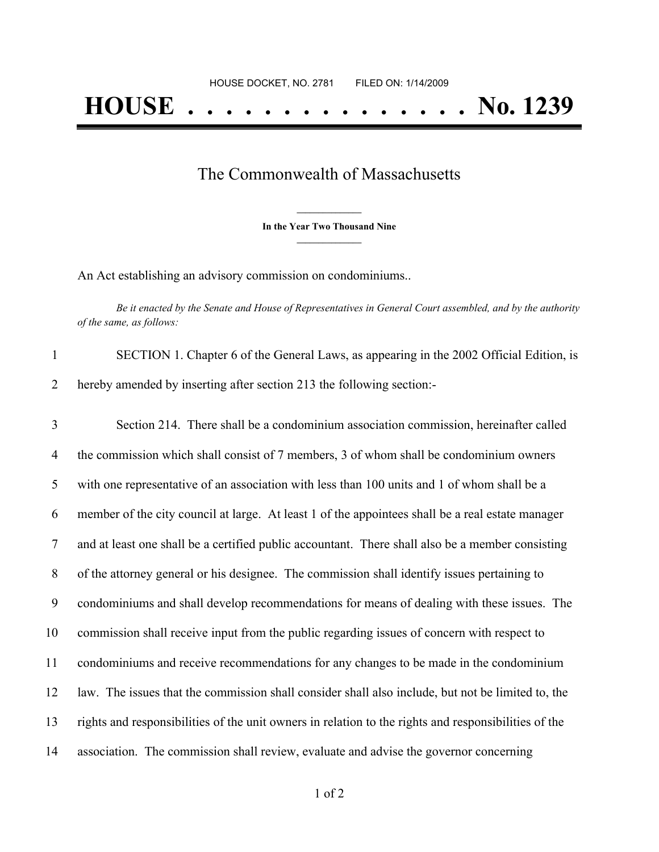## The Commonwealth of Massachusetts

**\_\_\_\_\_\_\_\_\_\_\_\_\_\_\_ In the Year Two Thousand Nine \_\_\_\_\_\_\_\_\_\_\_\_\_\_\_**

An Act establishing an advisory commission on condominiums..

Be it enacted by the Senate and House of Representatives in General Court assembled, and by the authority *of the same, as follows:*

| SECTION 1. Chapter 6 of the General Laws, as appearing in the 2002 Official Edition, is |
|-----------------------------------------------------------------------------------------|
| hereby amended by inserting after section 213 the following section:-                   |

 Section 214. There shall be a condominium association commission, hereinafter called 4 the commission which shall consist of 7 members, 3 of whom shall be condominium owners with one representative of an association with less than 100 units and 1 of whom shall be a member of the city council at large. At least 1 of the appointees shall be a real estate manager and at least one shall be a certified public accountant. There shall also be a member consisting of the attorney general or his designee. The commission shall identify issues pertaining to condominiums and shall develop recommendations for means of dealing with these issues. The commission shall receive input from the public regarding issues of concern with respect to condominiums and receive recommendations for any changes to be made in the condominium law. The issues that the commission shall consider shall also include, but not be limited to, the rights and responsibilities of the unit owners in relation to the rights and responsibilities of the association. The commission shall review, evaluate and advise the governor concerning